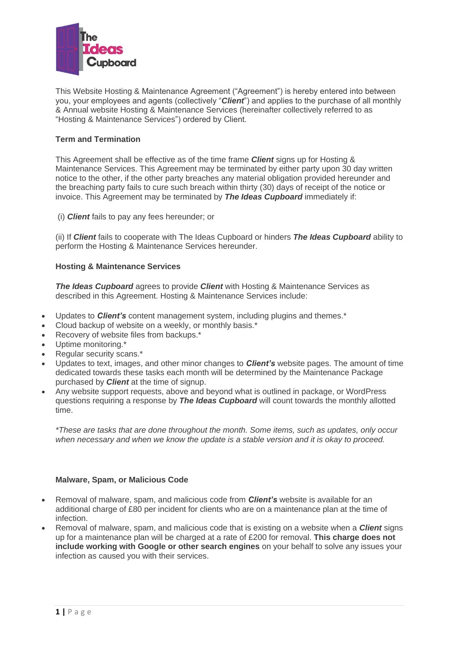

This Website Hosting & Maintenance Agreement ("Agreement") is hereby entered into between you, your employees and agents (collectively "*Client*") and applies to the purchase of all monthly & Annual website Hosting & Maintenance Services (hereinafter collectively referred to as "Hosting & Maintenance Services") ordered by Client.

# **Term and Termination**

This Agreement shall be effective as of the time frame *Client* signs up for Hosting & Maintenance Services. This Agreement may be terminated by either party upon 30 day written notice to the other, if the other party breaches any material obligation provided hereunder and the breaching party fails to cure such breach within thirty (30) days of receipt of the notice or invoice. This Agreement may be terminated by *The Ideas Cupboard* immediately if:

(i) *Client* fails to pay any fees hereunder; or

(ii) If *Client* fails to cooperate with The Ideas Cupboard or hinders *The Ideas Cupboard* ability to perform the Hosting & Maintenance Services hereunder.

## **Hosting & Maintenance Services**

*The Ideas Cupboard* agrees to provide *Client* with Hosting & Maintenance Services as described in this Agreement. Hosting & Maintenance Services include:

- Updates to *Client's* content management system, including plugins and themes.\*
- Cloud backup of website on a weekly, or monthly basis.\*
- Recovery of website files from backups.\*
- Uptime monitoring.\*
- Regular security scans.\*
- Updates to text, images, and other minor changes to *Client's* website pages. The amount of time dedicated towards these tasks each month will be determined by the Maintenance Package purchased by *Client* at the time of signup.
- Any website support requests, above and beyond what is outlined in package, or WordPress questions requiring a response by *The Ideas Cupboard* will count towards the monthly allotted time.

*\*These are tasks that are done throughout the month. Some items, such as updates, only occur when necessary and when we know the update is a stable version and it is okay to proceed.*

## **Malware, Spam, or Malicious Code**

- Removal of malware, spam, and malicious code from *Client's* website is available for an additional charge of £80 per incident for clients who are on a maintenance plan at the time of infection.
- Removal of malware, spam, and malicious code that is existing on a website when a *Client* signs up for a maintenance plan will be charged at a rate of £200 for removal. **This charge does not include working with Google or other search engines** on your behalf to solve any issues your infection as caused you with their services.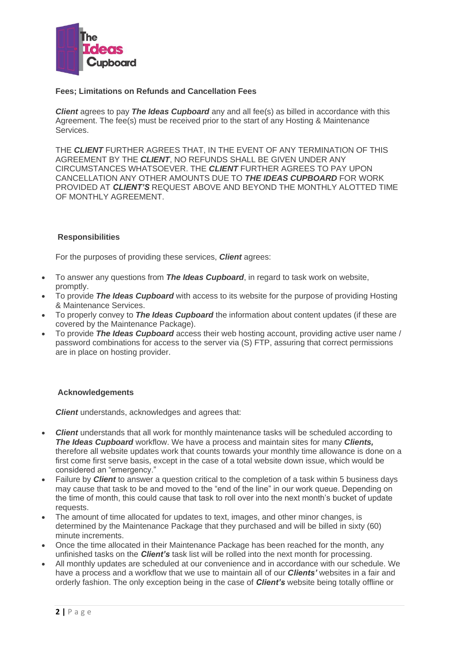

# **Fees; Limitations on Refunds and Cancellation Fees**

*Client* agrees to pay *The Ideas Cupboard* any and all fee(s) as billed in accordance with this Agreement. The fee(s) must be received prior to the start of any Hosting & Maintenance Services.

THE *CLIENT* FURTHER AGREES THAT, IN THE EVENT OF ANY TERMINATION OF THIS AGREEMENT BY THE *CLIENT*, NO REFUNDS SHALL BE GIVEN UNDER ANY CIRCUMSTANCES WHATSOEVER. THE *CLIENT* FURTHER AGREES TO PAY UPON CANCELLATION ANY OTHER AMOUNTS DUE TO *THE IDEAS CUPBOARD* FOR WORK PROVIDED AT *CLIENT'S* REQUEST ABOVE AND BEYOND THE MONTHLY ALOTTED TIME OF MONTHLY AGREEMENT.

# **Responsibilities**

For the purposes of providing these services, *Client* agrees:

- To answer any questions from *The Ideas Cupboard*, in regard to task work on website, promptly.
- To provide *The Ideas Cupboard* with access to its website for the purpose of providing Hosting & Maintenance Services.
- To properly convey to *The Ideas Cupboard* the information about content updates (if these are covered by the Maintenance Package).
- To provide *The Ideas Cupboard* access their web hosting account, providing active user name / password combinations for access to the server via (S) FTP, assuring that correct permissions are in place on hosting provider.

## **Acknowledgements**

*Client* understands, acknowledges and agrees that:

- *Client* understands that all work for monthly maintenance tasks will be scheduled according to *The Ideas Cupboard* workflow. We have a process and maintain sites for many *Clients,* therefore all website updates work that counts towards your monthly time allowance is done on a first come first serve basis, except in the case of a total website down issue, which would be considered an "emergency."
- Failure by *Client* to answer a question critical to the completion of a task within 5 business days may cause that task to be and moved to the "end of the line" in our work queue. Depending on the time of month, this could cause that task to roll over into the next month's bucket of update requests.
- The amount of time allocated for updates to text, images, and other minor changes, is determined by the Maintenance Package that they purchased and will be billed in sixty (60) minute increments.
- Once the time allocated in their Maintenance Package has been reached for the month, any unfinished tasks on the *Client's* task list will be rolled into the next month for processing.
- All monthly updates are scheduled at our convenience and in accordance with our schedule. We have a process and a workflow that we use to maintain all of our *Clients'* websites in a fair and orderly fashion. The only exception being in the case of *Client's* website being totally offline or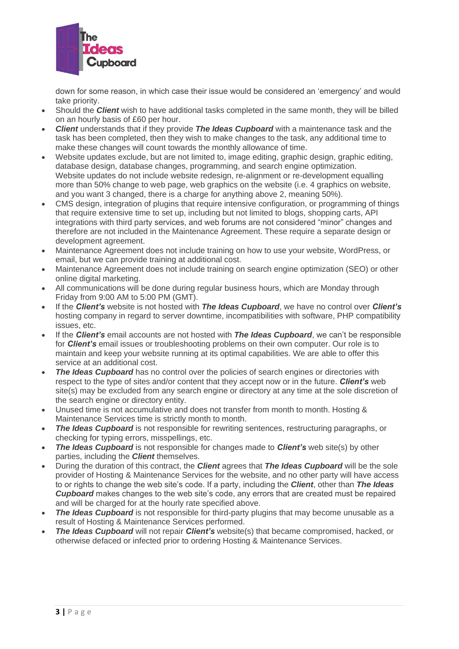

down for some reason, in which case their issue would be considered an 'emergency' and would take priority.

- Should the *Client* wish to have additional tasks completed in the same month, they will be billed on an hourly basis of £60 per hour.
- *Client* understands that if they provide *The Ideas Cupboard* with a maintenance task and the task has been completed, then they wish to make changes to the task, any additional time to make these changes will count towards the monthly allowance of time.
- Website updates exclude, but are not limited to, image editing, graphic design, graphic editing, database design, database changes, programming, and search engine optimization. Website updates do not include website redesign, re-alignment or re-development equalling more than 50% change to web page, web graphics on the website (i.e. 4 graphics on website, and you want 3 changed, there is a charge for anything above 2, meaning 50%).
- CMS design, integration of plugins that require intensive configuration, or programming of things that require extensive time to set up, including but not limited to blogs, shopping carts, API integrations with third party services, and web forums are not considered "minor" changes and therefore are not included in the Maintenance Agreement. These require a separate design or development agreement.
- Maintenance Agreement does not include training on how to use your website, WordPress, or email, but we can provide training at additional cost.
- Maintenance Agreement does not include training on search engine optimization (SEO) or other online digital marketing.
- All communications will be done during regular business hours, which are Monday through Friday from 9:00 AM to 5:00 PM (GMT).
- If the *Client's* website is not hosted with *The Ideas Cupboard*, we have no control over *Client's*  hosting company in regard to server downtime, incompatibilities with software, PHP compatibility issues, etc.
- If the *Client's* email accounts are not hosted with *The Ideas Cupboard*, we can't be responsible for *Client's* email issues or troubleshooting problems on their own computer. Our role is to maintain and keep your website running at its optimal capabilities. We are able to offer this service at an additional cost.
- **The Ideas Cupboard** has no control over the policies of search engines or directories with respect to the type of sites and/or content that they accept now or in the future. *Client's* web site(s) may be excluded from any search engine or directory at any time at the sole discretion of the search engine or directory entity.
- Unused time is not accumulative and does not transfer from month to month. Hosting & Maintenance Services time is strictly month to month.
- *The Ideas Cupboard* is not responsible for rewriting sentences, restructuring paragraphs, or checking for typing errors, misspellings, etc.
- *The Ideas Cupboard* is not responsible for changes made to *Client's* web site(s) by other parties, including the *Client* themselves.
- During the duration of this contract, the *Client* agrees that *The Ideas Cupboard* will be the sole provider of Hosting & Maintenance Services for the website, and no other party will have access to or rights to change the web site's code. If a party, including the *Client*, other than *The Ideas Cupboard* makes changes to the web site's code, any errors that are created must be repaired and will be charged for at the hourly rate specified above.
- **The Ideas Cupboard** is not responsible for third-party plugins that may become unusable as a result of Hosting & Maintenance Services performed.
- *The Ideas Cupboard* will not repair *Client's* website(s) that became compromised, hacked, or otherwise defaced or infected prior to ordering Hosting & Maintenance Services.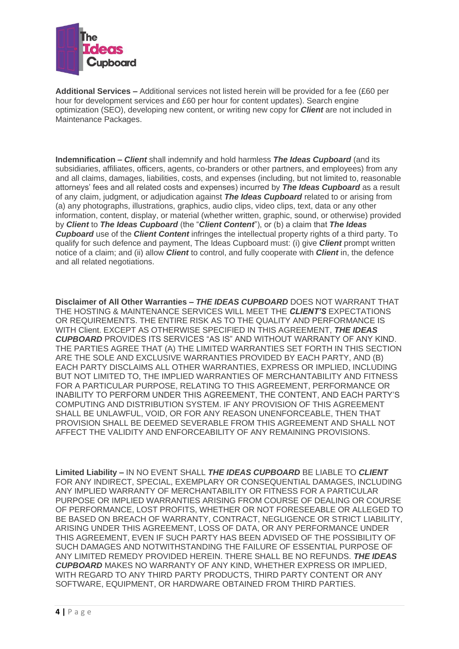

**Additional Services –** Additional services not listed herein will be provided for a fee (£60 per hour for development services and £60 per hour for content updates). Search engine optimization (SEO), developing new content, or writing new copy for *Client* are not included in Maintenance Packages.

**Indemnification –** *Client* shall indemnify and hold harmless *The Ideas Cupboard* (and its subsidiaries, affiliates, officers, agents, co-branders or other partners, and employees) from any and all claims, damages, liabilities, costs, and expenses (including, but not limited to, reasonable attorneys' fees and all related costs and expenses) incurred by *The Ideas Cupboard* as a result of any claim, judgment, or adjudication against *The Ideas Cupboard* related to or arising from (a) any photographs, illustrations, graphics, audio clips, video clips, text, data or any other information, content, display, or material (whether written, graphic, sound, or otherwise) provided by *Client* to *The Ideas Cupboard* (the "*Client Content*"), or (b) a claim that *The Ideas Cupboard* use of the *Client Content* infringes the intellectual property rights of a third party. To qualify for such defence and payment, The Ideas Cupboard must: (i) give *Client* prompt written notice of a claim; and (ii) allow *Client* to control, and fully cooperate with *Client* in, the defence and all related negotiations.

**Disclaimer of All Other Warranties –** *THE IDEAS CUPBOARD* DOES NOT WARRANT THAT THE HOSTING & MAINTENANCE SERVICES WILL MEET THE *CLIENT'S* EXPECTATIONS OR REQUIREMENTS. THE ENTIRE RISK AS TO THE QUALITY AND PERFORMANCE IS WITH Client. EXCEPT AS OTHERWISE SPECIFIED IN THIS AGREEMENT, *THE IDEAS CUPBOARD* PROVIDES ITS SERVICES "AS IS" AND WITHOUT WARRANTY OF ANY KIND. THE PARTIES AGREE THAT (A) THE LIMITED WARRANTIES SET FORTH IN THIS SECTION ARE THE SOLE AND EXCLUSIVE WARRANTIES PROVIDED BY EACH PARTY, AND (B) EACH PARTY DISCLAIMS ALL OTHER WARRANTIES, EXPRESS OR IMPLIED, INCLUDING BUT NOT LIMITED TO, THE IMPLIED WARRANTIES OF MERCHANTABILITY AND FITNESS FOR A PARTICULAR PURPOSE, RELATING TO THIS AGREEMENT, PERFORMANCE OR INABILITY TO PERFORM UNDER THIS AGREEMENT, THE CONTENT, AND EACH PARTY'S COMPUTING AND DISTRIBUTION SYSTEM. IF ANY PROVISION OF THIS AGREEMENT SHALL BE UNLAWFUL, VOID, OR FOR ANY REASON UNENFORCEABLE, THEN THAT PROVISION SHALL BE DEEMED SEVERABLE FROM THIS AGREEMENT AND SHALL NOT AFFECT THE VALIDITY AND ENFORCEABILITY OF ANY REMAINING PROVISIONS.

**Limited Liability –** IN NO EVENT SHALL *THE IDEAS CUPBOARD* BE LIABLE TO *CLIENT*  FOR ANY INDIRECT, SPECIAL, EXEMPLARY OR CONSEQUENTIAL DAMAGES, INCLUDING ANY IMPLIED WARRANTY OF MERCHANTABILITY OR FITNESS FOR A PARTICULAR PURPOSE OR IMPLIED WARRANTIES ARISING FROM COURSE OF DEALING OR COURSE OF PERFORMANCE, LOST PROFITS, WHETHER OR NOT FORESEEABLE OR ALLEGED TO BE BASED ON BREACH OF WARRANTY, CONTRACT, NEGLIGENCE OR STRICT LIABILITY, ARISING UNDER THIS AGREEMENT, LOSS OF DATA, OR ANY PERFORMANCE UNDER THIS AGREEMENT, EVEN IF SUCH PARTY HAS BEEN ADVISED OF THE POSSIBILITY OF SUCH DAMAGES AND NOTWITHSTANDING THE FAILURE OF ESSENTIAL PURPOSE OF ANY LIMITED REMEDY PROVIDED HEREIN. THERE SHALL BE NO REFUNDS. *THE IDEAS CUPBOARD* MAKES NO WARRANTY OF ANY KIND, WHETHER EXPRESS OR IMPLIED, WITH REGARD TO ANY THIRD PARTY PRODUCTS, THIRD PARTY CONTENT OR ANY SOFTWARE, EQUIPMENT, OR HARDWARE OBTAINED FROM THIRD PARTIES.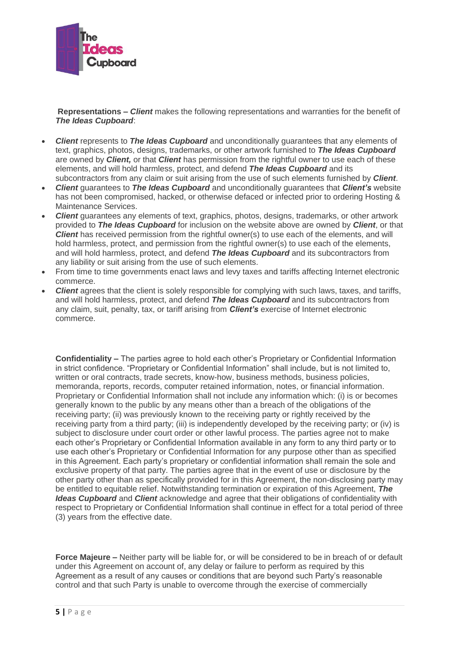

**Representations –** *Client* makes the following representations and warranties for the benefit of *The Ideas Cupboard*:

- *Client* represents to *The Ideas Cupboard* and unconditionally guarantees that any elements of text, graphics, photos, designs, trademarks, or other artwork furnished to *The Ideas Cupboard*  are owned by *Client,* or that *Client* has permission from the rightful owner to use each of these elements, and will hold harmless, protect, and defend *The Ideas Cupboard* and its subcontractors from any claim or suit arising from the use of such elements furnished by *Client*.
- *Client* guarantees to *The Ideas Cupboard* and unconditionally guarantees that *Client's* website has not been compromised, hacked, or otherwise defaced or infected prior to ordering Hosting & Maintenance Services.
- *Client* guarantees any elements of text, graphics, photos, designs, trademarks, or other artwork provided to *The Ideas Cupboard* for inclusion on the website above are owned by *Client*, or that *Client* has received permission from the rightful owner(s) to use each of the elements, and will hold harmless, protect, and permission from the rightful owner(s) to use each of the elements, and will hold harmless, protect, and defend *The Ideas Cupboard* and its subcontractors from any liability or suit arising from the use of such elements.
- From time to time governments enact laws and levy taxes and tariffs affecting Internet electronic commerce.
- *Client* agrees that the client is solely responsible for complying with such laws, taxes, and tariffs, and will hold harmless, protect, and defend *The Ideas Cupboard* and its subcontractors from any claim, suit, penalty, tax, or tariff arising from *Client's* exercise of Internet electronic commerce.

**Confidentiality –** The parties agree to hold each other's Proprietary or Confidential Information in strict confidence. "Proprietary or Confidential Information" shall include, but is not limited to, written or oral contracts, trade secrets, know-how, business methods, business policies, memoranda, reports, records, computer retained information, notes, or financial information. Proprietary or Confidential Information shall not include any information which: (i) is or becomes generally known to the public by any means other than a breach of the obligations of the receiving party; (ii) was previously known to the receiving party or rightly received by the receiving party from a third party; (iii) is independently developed by the receiving party; or (iv) is subject to disclosure under court order or other lawful process. The parties agree not to make each other's Proprietary or Confidential Information available in any form to any third party or to use each other's Proprietary or Confidential Information for any purpose other than as specified in this Agreement. Each party's proprietary or confidential information shall remain the sole and exclusive property of that party. The parties agree that in the event of use or disclosure by the other party other than as specifically provided for in this Agreement, the non-disclosing party may be entitled to equitable relief. Notwithstanding termination or expiration of this Agreement, *The Ideas Cupboard* and *Client* acknowledge and agree that their obligations of confidentiality with respect to Proprietary or Confidential Information shall continue in effect for a total period of three (3) years from the effective date.

**Force Majeure –** Neither party will be liable for, or will be considered to be in breach of or default under this Agreement on account of, any delay or failure to perform as required by this Agreement as a result of any causes or conditions that are beyond such Party's reasonable control and that such Party is unable to overcome through the exercise of commercially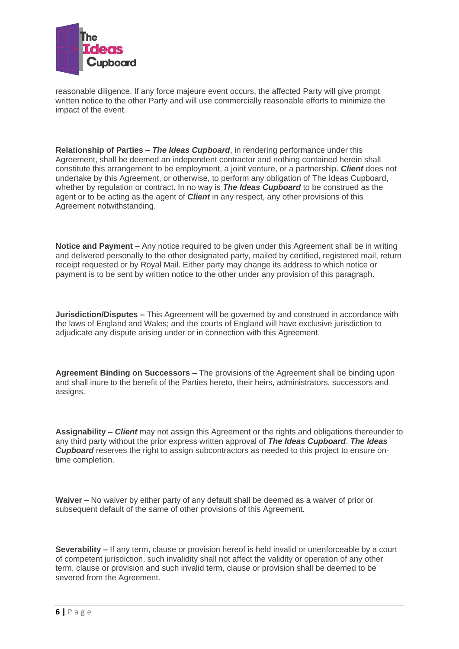

reasonable diligence. If any force majeure event occurs, the affected Party will give prompt written notice to the other Party and will use commercially reasonable efforts to minimize the impact of the event.

**Relationship of Parties –** *The Ideas Cupboard*, in rendering performance under this Agreement, shall be deemed an independent contractor and nothing contained herein shall constitute this arrangement to be employment, a joint venture, or a partnership. *Client* does not undertake by this Agreement, or otherwise, to perform any obligation of The Ideas Cupboard, whether by regulation or contract. In no way is *The Ideas Cupboard* to be construed as the agent or to be acting as the agent of *Client* in any respect, any other provisions of this Agreement notwithstanding.

**Notice and Payment –** Any notice required to be given under this Agreement shall be in writing and delivered personally to the other designated party, mailed by certified, registered mail, return receipt requested or by Royal Mail. Either party may change its address to which notice or payment is to be sent by written notice to the other under any provision of this paragraph.

**Jurisdiction/Disputes –** This Agreement will be governed by and construed in accordance with the laws of England and Wales; and the courts of England will have exclusive jurisdiction to adjudicate any dispute arising under or in connection with this Agreement.

**Agreement Binding on Successors –** The provisions of the Agreement shall be binding upon and shall inure to the benefit of the Parties hereto, their heirs, administrators, successors and assigns.

**Assignability –** *Client* may not assign this Agreement or the rights and obligations thereunder to any third party without the prior express written approval of *The Ideas Cupboard*. *The Ideas*  **Cupboard** reserves the right to assign subcontractors as needed to this project to ensure ontime completion.

**Waiver –** No waiver by either party of any default shall be deemed as a waiver of prior or subsequent default of the same of other provisions of this Agreement.

**Severability –** If any term, clause or provision hereof is held invalid or unenforceable by a court of competent jurisdiction, such invalidity shall not affect the validity or operation of any other term, clause or provision and such invalid term, clause or provision shall be deemed to be severed from the Agreement.